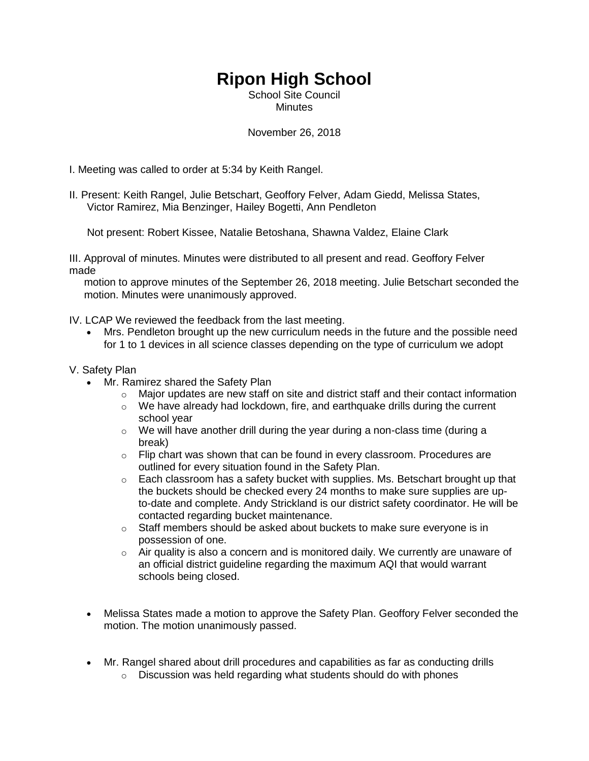## **Ripon High School**

School Site Council **Minutes** 

## November 26, 2018

I. Meeting was called to order at 5:34 by Keith Rangel.

II. Present: Keith Rangel, Julie Betschart, Geoffory Felver, Adam Giedd, Melissa States, Victor Ramirez, Mia Benzinger, Hailey Bogetti, Ann Pendleton

Not present: Robert Kissee, Natalie Betoshana, Shawna Valdez, Elaine Clark

III. Approval of minutes. Minutes were distributed to all present and read. Geoffory Felver made

 motion to approve minutes of the September 26, 2018 meeting. Julie Betschart seconded the motion. Minutes were unanimously approved.

IV. LCAP We reviewed the feedback from the last meeting.

 Mrs. Pendleton brought up the new curriculum needs in the future and the possible need for 1 to 1 devices in all science classes depending on the type of curriculum we adopt

## V. Safety Plan

- Mr. Ramirez shared the Safety Plan
	- $\circ$  Major updates are new staff on site and district staff and their contact information
	- $\circ$  We have already had lockdown, fire, and earthquake drills during the current school year
	- $\circ$  We will have another drill during the year during a non-class time (during a break)
	- $\circ$  Flip chart was shown that can be found in every classroom. Procedures are outlined for every situation found in the Safety Plan.
	- $\circ$  Each classroom has a safety bucket with supplies. Ms. Betschart brought up that the buckets should be checked every 24 months to make sure supplies are upto-date and complete. Andy Strickland is our district safety coordinator. He will be contacted regarding bucket maintenance.
	- $\circ$  Staff members should be asked about buckets to make sure everyone is in possession of one.
	- $\circ$  Air quality is also a concern and is monitored daily. We currently are unaware of an official district guideline regarding the maximum AQI that would warrant schools being closed.
- Melissa States made a motion to approve the Safety Plan. Geoffory Felver seconded the motion. The motion unanimously passed.
- Mr. Rangel shared about drill procedures and capabilities as far as conducting drills
	- $\circ$  Discussion was held regarding what students should do with phones